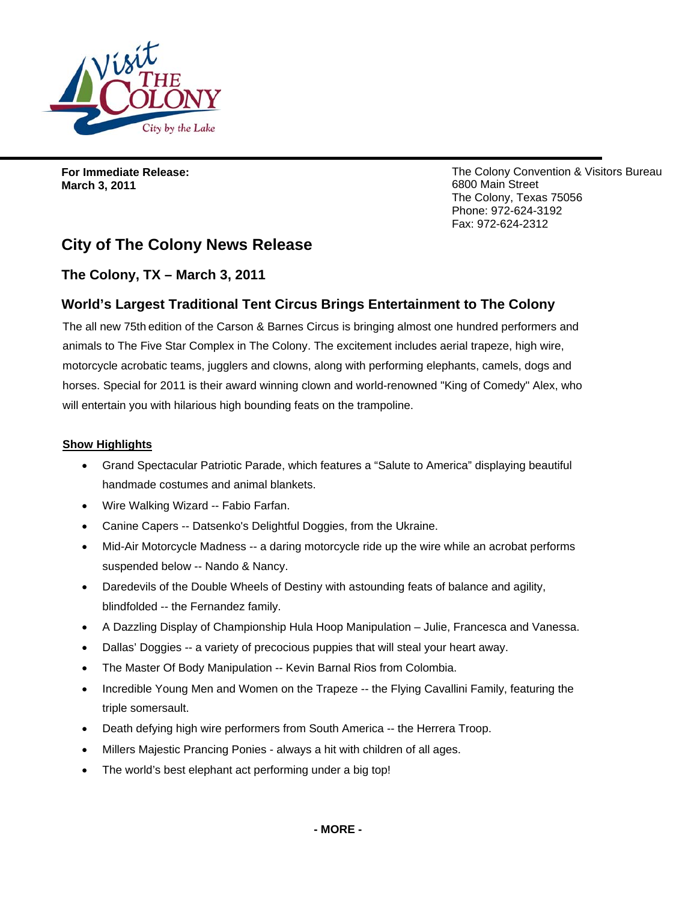

**For Immediate Release: March 3, 2011** 

The Colony Convention & Visitors Bureau 6800 Main Street The Colony, Texas 75056 Phone: 972-624-3192 Fax: 972-624-2312

# **City of The Colony News Release**

## **The Colony, TX – March 3, 2011**

## **World's Largest Traditional Tent Circus Brings Entertainment to The Colony**

The all new 75th edition of the Carson & Barnes Circus is bringing almost one hundred performers and animals to The Five Star Complex in The Colony. The excitement includes aerial trapeze, high wire, motorcycle acrobatic teams, jugglers and clowns, along with performing elephants, camels, dogs and horses. Special for 2011 is their award winning clown and world-renowned "King of Comedy" Alex, who will entertain you with hilarious high bounding feats on the trampoline.

### **Show Highlights**

- Grand Spectacular Patriotic Parade, which features a "Salute to America" displaying beautiful handmade costumes and animal blankets.
- Wire Walking Wizard -- Fabio Farfan.
- Canine Capers -- Datsenko's Delightful Doggies, from the Ukraine.
- Mid-Air Motorcycle Madness -- a daring motorcycle ride up the wire while an acrobat performs suspended below -- Nando & Nancy.
- Daredevils of the Double Wheels of Destiny with astounding feats of balance and agility, blindfolded -- the Fernandez family.
- A Dazzling Display of Championship Hula Hoop Manipulation Julie, Francesca and Vanessa.
- Dallas' Doggies -- a variety of precocious puppies that will steal your heart away.
- The Master Of Body Manipulation -- Kevin Barnal Rios from Colombia.
- Incredible Young Men and Women on the Trapeze -- the Flying Cavallini Family, featuring the triple somersault.
- Death defying high wire performers from South America -- the Herrera Troop.
- Millers Majestic Prancing Ponies always a hit with children of all ages.
- The world's best elephant act performing under a big top!